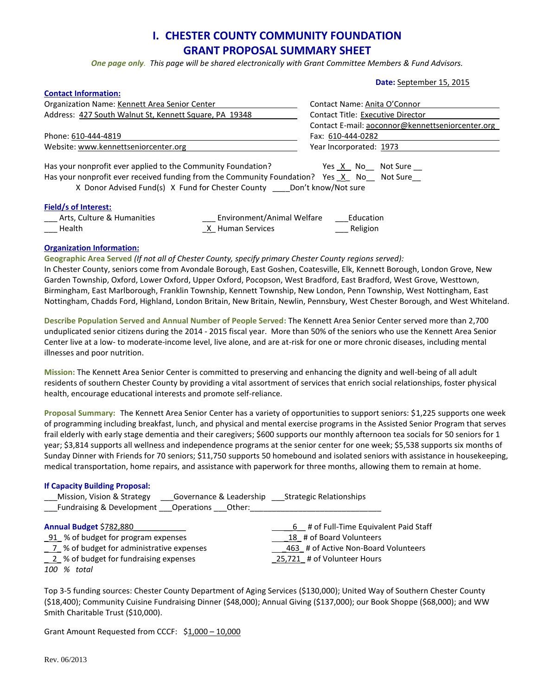# **I. CHESTER COUNTY COMMUNITY FOUNDATION GRANT PROPOSAL SUMMARY SHEET**

*One page only. This page will be shared electronically with Grant Committee Members & Fund Advisors.*

**Date:** September 15, 2015

| <b>Contact Information:</b>                                                                                                                                                                                                                                  |                                                |                                                  |  |
|--------------------------------------------------------------------------------------------------------------------------------------------------------------------------------------------------------------------------------------------------------------|------------------------------------------------|--------------------------------------------------|--|
| Organization Name: Kennett Area Senior Center                                                                                                                                                                                                                |                                                | Contact Name: Anita O'Connor                     |  |
| Address: 427 South Walnut St, Kennett Square, PA 19348                                                                                                                                                                                                       |                                                | <b>Contact Title: Executive Director</b>         |  |
|                                                                                                                                                                                                                                                              |                                                | Contact E-mail: aoconnor@kennettseniorcenter.org |  |
| Phone: 610-444-4819                                                                                                                                                                                                                                          |                                                | Fax: 610-444-0282                                |  |
| Website: www.kennettseniorcenter.org                                                                                                                                                                                                                         |                                                | Year Incorporated: 1973                          |  |
| Has your nonprofit ever applied to the Community Foundation?<br>Yes X No Not Sure<br>Has your nonprofit ever received funding from the Community Foundation? Yes $X$ No<br>Not Sure<br>X Donor Advised Fund(s) X Fund for Chester County Don't know/Not sure |                                                |                                                  |  |
| <b>Field/s of Interest:</b><br>Arts, Culture & Humanities<br>Health                                                                                                                                                                                          | Environment/Animal Welfare<br>X Human Services | Education<br>Religion                            |  |

#### **Organization Information:**

**Geographic Area Served** *(If not all of Chester County, specify primary Chester County regions served):*

In Chester County, seniors come from Avondale Borough, East Goshen, Coatesville, Elk, Kennett Borough, London Grove, New Garden Township, Oxford, Lower Oxford, Upper Oxford, Pocopson, West Bradford, East Bradford, West Grove, Westtown, Birmingham, East Marlborough, Franklin Township, Kennett Township, New London, Penn Township, West Nottingham, East Nottingham, Chadds Ford, Highland, London Britain, New Britain, Newlin, Pennsbury, West Chester Borough, and West Whiteland.

**Describe Population Served and Annual Number of People Served:** The Kennett Area Senior Center served more than 2,700 unduplicated senior citizens during the 2014 - 2015 fiscal year. More than 50% of the seniors who use the Kennett Area Senior Center live at a low- to moderate-income level, live alone, and are at-risk for one or more chronic diseases, including mental illnesses and poor nutrition.

**Mission:** The Kennett Area Senior Center is committed to preserving and enhancing the dignity and well-being of all adult residents of southern Chester County by providing a vital assortment of services that enrich social relationships, foster physical health, encourage educational interests and promote self-reliance.

**Proposal Summary:** The Kennett Area Senior Center has a variety of opportunities to support seniors: \$1,225 supports one week of programming including breakfast, lunch, and physical and mental exercise programs in the Assisted Senior Program that serves frail elderly with early stage dementia and their caregivers; \$600 supports our monthly afternoon tea socials for 50 seniors for 1 year; \$3,814 supports all wellness and independence programs at the senior center for one week; \$5,538 supports six months of Sunday Dinner with Friends for 70 seniors; \$11,750 supports 50 homebound and isolated seniors with assistance in housekeeping, medical transportation, home repairs, and assistance with paperwork for three months, allowing them to remain at home.

| <b>If Capacity Building Proposal:</b><br>Mission, Vision & Strategy ______ Governance & Leadership __________ Strategic Relationships |                                        |
|---------------------------------------------------------------------------------------------------------------------------------------|----------------------------------------|
| Annual Budget \$782,880                                                                                                               | 6 # of Full-Time Equivalent Paid Staff |
| 91 % of budget for program expenses                                                                                                   | 18 # of Board Volunteers               |
| 7 % of budget for administrative expenses                                                                                             | 463 # of Active Non-Board Volunteers   |
| 2 % of budget for fundraising expenses                                                                                                | 25,721 # of Volunteer Hours            |
| 100 % total                                                                                                                           |                                        |

Top 3-5 funding sources: Chester County Department of Aging Services (\$130,000); United Way of Southern Chester County (\$18,400); Community Cuisine Fundraising Dinner (\$48,000); Annual Giving (\$137,000); our Book Shoppe (\$68,000); and WW Smith Charitable Trust (\$10,000).

Grant Amount Requested from CCCF: \$1,000 – 10,000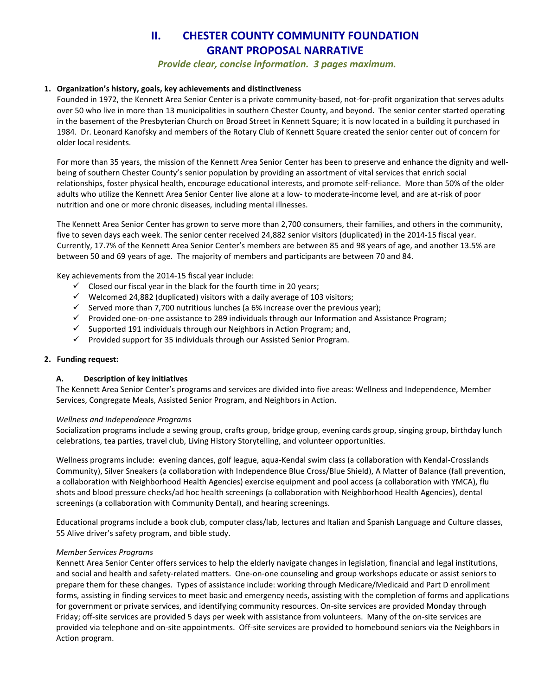# **II. CHESTER COUNTY COMMUNITY FOUNDATION GRANT PROPOSAL NARRATIVE**

*Provide clear, concise information. 3 pages maximum.* 

# **1. Organization's history, goals, key achievements and distinctiveness**

Founded in 1972, the Kennett Area Senior Center is a private community-based, not-for-profit organization that serves adults over 50 who live in more than 13 municipalities in southern Chester County, and beyond. The senior center started operating in the basement of the Presbyterian Church on Broad Street in Kennett Square; it is now located in a building it purchased in 1984. Dr. Leonard Kanofsky and members of the Rotary Club of Kennett Square created the senior center out of concern for older local residents.

For more than 35 years, the mission of the Kennett Area Senior Center has been to preserve and enhance the dignity and wellbeing of southern Chester County's senior population by providing an assortment of vital services that enrich social relationships, foster physical health, encourage educational interests, and promote self-reliance. More than 50% of the older adults who utilize the Kennett Area Senior Center live alone at a low- to moderate-income level, and are at-risk of poor nutrition and one or more chronic diseases, including mental illnesses.

The Kennett Area Senior Center has grown to serve more than 2,700 consumers, their families, and others in the community, five to seven days each week. The senior center received 24,882 senior visitors (duplicated) in the 2014-15 fiscal year. Currently, 17.7% of the Kennett Area Senior Center's members are between 85 and 98 years of age, and another 13.5% are between 50 and 69 years of age. The majority of members and participants are between 70 and 84.

Key achievements from the 2014-15 fiscal year include:

- $\checkmark$  Closed our fiscal year in the black for the fourth time in 20 years;
- $\checkmark$  Welcomed 24,882 (duplicated) visitors with a daily average of 103 visitors;
- $\checkmark$  Served more than 7,700 nutritious lunches (a 6% increase over the previous year);
- $\checkmark$  Provided one-on-one assistance to 289 individuals through our Information and Assistance Program;
- $\checkmark$  Supported 191 individuals through our Neighbors in Action Program; and,
- $\checkmark$  Provided support for 35 individuals through our Assisted Senior Program.

# **2. Funding request:**

# **A. Description of key initiatives**

The Kennett Area Senior Center's programs and services are divided into five areas: Wellness and Independence, Member Services, Congregate Meals, Assisted Senior Program, and Neighbors in Action.

# *Wellness and Independence Programs*

Socialization programs include a sewing group, crafts group, bridge group, evening cards group, singing group, birthday lunch celebrations, tea parties, travel club, Living History Storytelling, and volunteer opportunities.

Wellness programs include: evening dances, golf league, aqua-Kendal swim class (a collaboration with Kendal-Crosslands Community), Silver Sneakers (a collaboration with Independence Blue Cross/Blue Shield), A Matter of Balance (fall prevention, a collaboration with Neighborhood Health Agencies) exercise equipment and pool access (a collaboration with YMCA), flu shots and blood pressure checks/ad hoc health screenings (a collaboration with Neighborhood Health Agencies), dental screenings (a collaboration with Community Dental), and hearing screenings.

Educational programs include a book club, computer class/lab, lectures and Italian and Spanish Language and Culture classes, 55 Alive driver's safety program, and bible study.

# *Member Services Programs*

Kennett Area Senior Center offers services to help the elderly navigate changes in legislation, financial and legal institutions, and social and health and safety-related matters. One-on-one counseling and group workshops educate or assist seniors to prepare them for these changes. Types of assistance include: working through Medicare/Medicaid and Part D enrollment forms, assisting in finding services to meet basic and emergency needs, assisting with the completion of forms and applications for government or private services, and identifying community resources. On-site services are provided Monday through Friday; off-site services are provided 5 days per week with assistance from volunteers. Many of the on-site services are provided via telephone and on-site appointments. Off-site services are provided to homebound seniors via the Neighbors in Action program.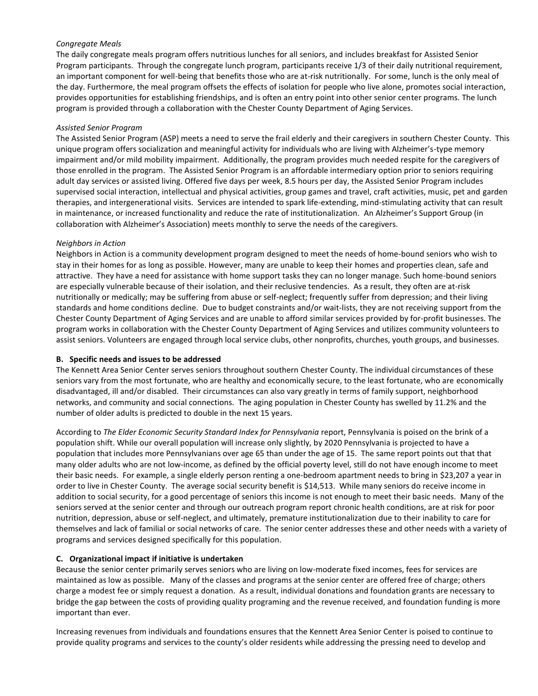#### *Congregate Meals*

The daily congregate meals program offers nutritious lunches for all seniors, and includes breakfast for Assisted Senior Program participants. Through the congregate lunch program, participants receive 1/3 of their daily nutritional requirement, an important component for well-being that benefits those who are at-risk nutritionally. For some, lunch is the only meal of the day. Furthermore, the meal program offsets the effects of isolation for people who live alone, promotes social interaction, provides opportunities for establishing friendships, and is often an entry point into other senior center programs. The lunch program is provided through a collaboration with the Chester County Department of Aging Services.

#### *Assisted Senior Program*

The Assisted Senior Program (ASP) meets a need to serve the frail elderly and their caregivers in southern Chester County. This unique program offers socialization and meaningful activity for individuals who are living with Alzheimer's-type memory impairment and/or mild mobility impairment. Additionally, the program provides much needed respite for the caregivers of those enrolled in the program. The Assisted Senior Program is an affordable intermediary option prior to seniors requiring adult day services or assisted living. Offered five days per week, 8.5 hours per day, the Assisted Senior Program includes supervised social interaction, intellectual and physical activities, group games and travel, craft activities, music, pet and garden therapies, and intergenerational visits. Services are intended to spark life-extending, mind-stimulating activity that can result in maintenance, or increased functionality and reduce the rate of institutionalization. An Alzheimer's Support Group (in collaboration with Alzheimer's Association) meets monthly to serve the needs of the caregivers.

#### *Neighbors in Action*

Neighbors in Action is a community development program designed to meet the needs of home-bound seniors who wish to stay in their homes for as long as possible. However, many are unable to keep their homes and properties clean, safe and attractive. They have a need for assistance with home support tasks they can no longer manage. Such home-bound seniors are especially vulnerable because of their isolation, and their reclusive tendencies. As a result, they often are at-risk nutritionally or medically; may be suffering from abuse or self-neglect; frequently suffer from depression; and their living standards and home conditions decline. Due to budget constraints and/or wait-lists, they are not receiving support from the Chester County Department of Aging Services and are unable to afford similar services provided by for-profit businesses. The program works in collaboration with the Chester County Department of Aging Services and utilizes community volunteers to assist seniors. Volunteers are engaged through local service clubs, other nonprofits, churches, youth groups, and businesses.

# **B. Specific needs and issues to be addressed**

The Kennett Area Senior Center serves seniors throughout southern Chester County. The individual circumstances of these seniors vary from the most fortunate, who are healthy and economically secure, to the least fortunate, who are economically disadvantaged, ill and/or disabled. Their circumstances can also vary greatly in terms of family support, neighborhood networks, and community and social connections. The aging population in Chester County has swelled by 11.2% and the number of older adults is predicted to double in the next 15 years*.*

According to *The Elder Economic Security Standard Index for Pennsylvania* report, Pennsylvania is poised on the brink of a population shift. While our overall population will increase only slightly, by 2020 Pennsylvania is projected to have a population that includes more Pennsylvanians over age 65 than under the age of 15. The same report points out that that many older adults who are not low-income, as defined by the official poverty level, still do not have enough income to meet their basic needs. For example, a single elderly person renting a one-bedroom apartment needs to bring in \$23,207 a year in order to live in Chester County. The average social security benefit is \$14,513. While many seniors do receive income in addition to social security, for a good percentage of seniors this income is not enough to meet their basic needs. Many of the seniors served at the senior center and through our outreach program report chronic health conditions, are at risk for poor nutrition, depression, abuse or self-neglect, and ultimately, premature institutionalization due to their inability to care for themselves and lack of familial or social networks of care. The senior center addresses these and other needs with a variety of programs and services designed specifically for this population.

# **C. Organizational impact if initiative is undertaken**

Because the senior center primarily serves seniors who are living on low-moderate fixed incomes, fees for services are maintained as low as possible. Many of the classes and programs at the senior center are offered free of charge; others charge a modest fee or simply request a donation. As a result, individual donations and foundation grants are necessary to bridge the gap between the costs of providing quality programing and the revenue received, and foundation funding is more important than ever.

Increasing revenues from individuals and foundations ensures that the Kennett Area Senior Center is poised to continue to provide quality programs and services to the county's older residents while addressing the pressing need to develop and